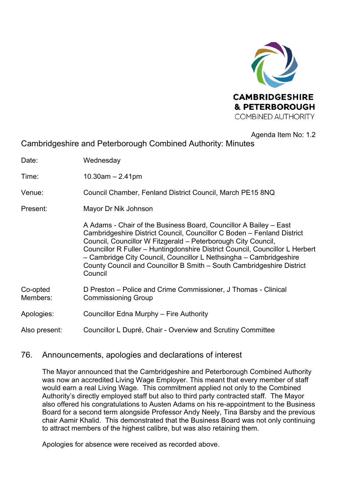

#### Agenda Item No: 1.2

Cambridgeshire and Peterborough Combined Authority: Minutes

Date: Wednesday

Time: 10.30am – 2.41pm

Venue: Council Chamber, Fenland District Council, March PE15 8NQ

Present: Mayor Dr Nik Johnson

 A Adams - Chair of the Business Board, Councillor A Bailey – East Cambridgeshire District Council, Councillor C Boden – Fenland District Council, Councillor W Fitzgerald – Peterborough City Council, Councillor R Fuller – Huntingdonshire District Council, Councillor L Herbert – Cambridge City Council, Councillor L Nethsingha – Cambridgeshire County Council and Councillor B Smith – South Cambridgeshire District Council

| Co-opted | D Preston – Police and Crime Commissioner, J Thomas - Clinical |
|----------|----------------------------------------------------------------|
| Members: | <b>Commissioning Group</b>                                     |

Apologies: Councillor Edna Murphy – Fire Authority

Also present: Councillor L Dupré, Chair - Overview and Scrutiny Committee

# 76. Announcements, apologies and declarations of interest

The Mayor announced that the Cambridgeshire and Peterborough Combined Authority was now an accredited Living Wage Employer. This meant that every member of staff would earn a real Living Wage. This commitment applied not only to the Combined Authority's directly employed staff but also to third party contracted staff. The Mayor also offered his congratulations to Austen Adams on his re-appointment to the Business Board for a second term alongside Professor Andy Neely, Tina Barsby and the previous chair Aamir Khalid. This demonstrated that the Business Board was not only continuing to attract members of the highest calibre, but was also retaining them.

Apologies for absence were received as recorded above.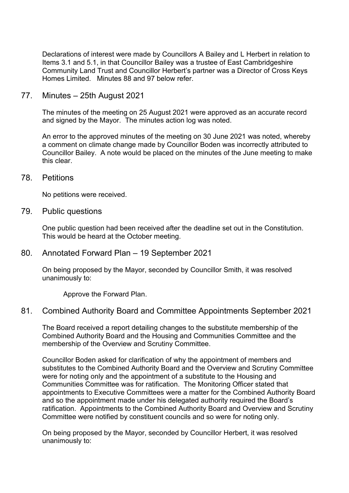Declarations of interest were made by Councillors A Bailey and L Herbert in relation to Items 3.1 and 5.1, in that Councillor Bailey was a trustee of East Cambridgeshire Community Land Trust and Councillor Herbert's partner was a Director of Cross Keys Homes Limited. Minutes 88 and 97 below refer.

#### 77. Minutes – 25th August 2021

The minutes of the meeting on 25 August 2021 were approved as an accurate record and signed by the Mayor. The minutes action log was noted.

An error to the approved minutes of the meeting on 30 June 2021 was noted, whereby a comment on climate change made by Councillor Boden was incorrectly attributed to Councillor Bailey. A note would be placed on the minutes of the June meeting to make this clear.

#### 78. Petitions

No petitions were received.

#### 79. Public questions

One public question had been received after the deadline set out in the Constitution. This would be heard at the October meeting.

#### 80. Annotated Forward Plan – 19 September 2021

On being proposed by the Mayor, seconded by Councillor Smith, it was resolved unanimously to:

Approve the Forward Plan.

## 81. Combined Authority Board and Committee Appointments September 2021

The Board received a report detailing changes to the substitute membership of the Combined Authority Board and the Housing and Communities Committee and the membership of the Overview and Scrutiny Committee.

Councillor Boden asked for clarification of why the appointment of members and substitutes to the Combined Authority Board and the Overview and Scrutiny Committee were for noting only and the appointment of a substitute to the Housing and Communities Committee was for ratification. The Monitoring Officer stated that appointments to Executive Committees were a matter for the Combined Authority Board and so the appointment made under his delegated authority required the Board's ratification. Appointments to the Combined Authority Board and Overview and Scrutiny Committee were notified by constituent councils and so were for noting only.

On being proposed by the Mayor, seconded by Councillor Herbert, it was resolved unanimously to: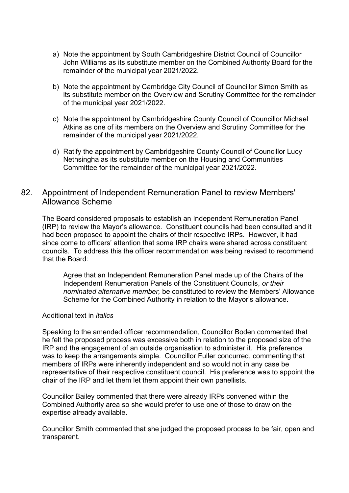- a) Note the appointment by South Cambridgeshire District Council of Councillor John Williams as its substitute member on the Combined Authority Board for the remainder of the municipal year 2021/2022.
- b) Note the appointment by Cambridge City Council of Councillor Simon Smith as its substitute member on the Overview and Scrutiny Committee for the remainder of the municipal year 2021/2022.
- c) Note the appointment by Cambridgeshire County Council of Councillor Michael Atkins as one of its members on the Overview and Scrutiny Committee for the remainder of the municipal year 2021/2022.
- d) Ratify the appointment by Cambridgeshire County Council of Councillor Lucy Nethsingha as its substitute member on the Housing and Communities Committee for the remainder of the municipal year 2021/2022.

# 82. Appointment of Independent Remuneration Panel to review Members' Allowance Scheme

The Board considered proposals to establish an Independent Remuneration Panel (IRP) to review the Mayor's allowance. Constituent councils had been consulted and it had been proposed to appoint the chairs of their respective IRPs. However, it had since come to officers' attention that some IRP chairs were shared across constituent councils. To address this the officer recommendation was being revised to recommend that the Board:

Agree that an Independent Remuneration Panel made up of the Chairs of the Independent Renumeration Panels of the Constituent Councils, *or their nominated alternative member,* be constituted to review the Members' Allowance Scheme for the Combined Authority in relation to the Mayor's allowance.

#### Additional text in *italics*

Speaking to the amended officer recommendation, Councillor Boden commented that he felt the proposed process was excessive both in relation to the proposed size of the IRP and the engagement of an outside organisation to administer it. His preference was to keep the arrangements simple. Councillor Fuller concurred, commenting that members of IRPs were inherently independent and so would not in any case be representative of their respective constituent council. His preference was to appoint the chair of the IRP and let them let them appoint their own panellists.

Councillor Bailey commented that there were already IRPs convened within the Combined Authority area so she would prefer to use one of those to draw on the expertise already available.

Councillor Smith commented that she judged the proposed process to be fair, open and transparent.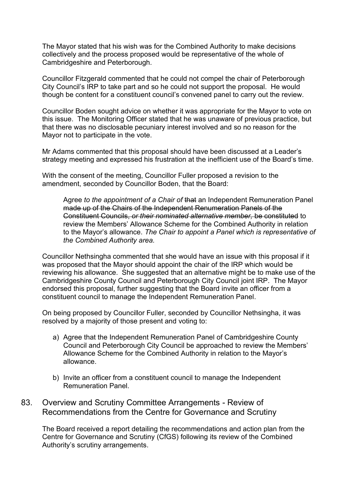The Mayor stated that his wish was for the Combined Authority to make decisions collectively and the process proposed would be representative of the whole of Cambridgeshire and Peterborough.

Councillor Fitzgerald commented that he could not compel the chair of Peterborough City Council's IRP to take part and so he could not support the proposal. He would though be content for a constituent council's convened panel to carry out the review.

Councillor Boden sought advice on whether it was appropriate for the Mayor to vote on this issue. The Monitoring Officer stated that he was unaware of previous practice, but that there was no disclosable pecuniary interest involved and so no reason for the Mayor not to participate in the vote.

Mr Adams commented that this proposal should have been discussed at a Leader's strategy meeting and expressed his frustration at the inefficient use of the Board's time.

With the consent of the meeting, Councillor Fuller proposed a revision to the amendment, seconded by Councillor Boden, that the Board:

Agree *to the appointment of a Chair of* that an Independent Remuneration Panel made up of the Chairs of the Independent Renumeration Panels of the Constituent Councils, *or their nominated alternative member,* be constituted to review the Members' Allowance Scheme for the Combined Authority in relation to the Mayor's allowance. *The Chair to appoint a Panel which is representative of the Combined Authority area.* 

Councillor Nethsingha commented that she would have an issue with this proposal if it was proposed that the Mayor should appoint the chair of the IRP which would be reviewing his allowance. She suggested that an alternative might be to make use of the Cambridgeshire County Council and Peterborough City Council joint IRP. The Mayor endorsed this proposal, further suggesting that the Board invite an officer from a constituent council to manage the Independent Remuneration Panel.

On being proposed by Councillor Fuller, seconded by Councillor Nethsingha, it was resolved by a majority of those present and voting to:

- a) Agree that the Independent Remuneration Panel of Cambridgeshire County Council and Peterborough City Council be approached to review the Members' Allowance Scheme for the Combined Authority in relation to the Mayor's allowance.
- b) Invite an officer from a constituent council to manage the Independent Remuneration Panel.
- 83. Overview and Scrutiny Committee Arrangements Review of Recommendations from the Centre for Governance and Scrutiny

The Board received a report detailing the recommendations and action plan from the Centre for Governance and Scrutiny (CfGS) following its review of the Combined Authority's scrutiny arrangements.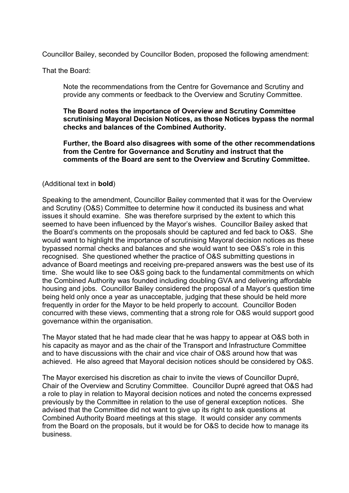Councillor Bailey, seconded by Councillor Boden, proposed the following amendment:

That the Board:

Note the recommendations from the Centre for Governance and Scrutiny and provide any comments or feedback to the Overview and Scrutiny Committee.

**The Board notes the importance of Overview and Scrutiny Committee scrutinising Mayoral Decision Notices, as those Notices bypass the normal checks and balances of the Combined Authority.** 

**Further, the Board also disagrees with some of the other recommendations from the Centre for Governance and Scrutiny and instruct that the comments of the Board are sent to the Overview and Scrutiny Committee.** 

#### (Additional text in **bold**)

Speaking to the amendment, Councillor Bailey commented that it was for the Overview and Scrutiny (O&S) Committee to determine how it conducted its business and what issues it should examine. She was therefore surprised by the extent to which this seemed to have been influenced by the Mayor's wishes. Councillor Bailey asked that the Board's comments on the proposals should be captured and fed back to O&S. She would want to highlight the importance of scrutinising Mayoral decision notices as these bypassed normal checks and balances and she would want to see O&S's role in this recognised. She questioned whether the practice of O&S submitting questions in advance of Board meetings and receiving pre-prepared answers was the best use of its time. She would like to see O&S going back to the fundamental commitments on which the Combined Authority was founded including doubling GVA and delivering affordable housing and jobs. Councillor Bailey considered the proposal of a Mayor's question time being held only once a year as unacceptable, judging that these should be held more frequently in order for the Mayor to be held properly to account. Councillor Boden concurred with these views, commenting that a strong role for O&S would support good governance within the organisation.

The Mayor stated that he had made clear that he was happy to appear at O&S both in his capacity as mayor and as the chair of the Transport and Infrastructure Committee and to have discussions with the chair and vice chair of O&S around how that was achieved. He also agreed that Mayoral decision notices should be considered by O&S.

The Mayor exercised his discretion as chair to invite the views of Councillor Dupré, Chair of the Overview and Scrutiny Committee. Councillor Dupré agreed that O&S had a role to play in relation to Mayoral decision notices and noted the concerns expressed previously by the Committee in relation to the use of general exception notices. She advised that the Committee did not want to give up its right to ask questions at Combined Authority Board meetings at this stage. It would consider any comments from the Board on the proposals, but it would be for O&S to decide how to manage its business.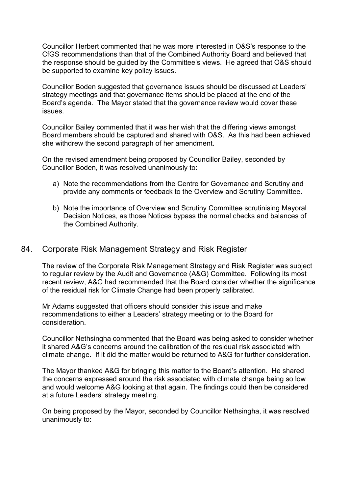Councillor Herbert commented that he was more interested in O&S's response to the CfGS recommendations than that of the Combined Authority Board and believed that the response should be guided by the Committee's views. He agreed that O&S should be supported to examine key policy issues.

Councillor Boden suggested that governance issues should be discussed at Leaders' strategy meetings and that governance items should be placed at the end of the Board's agenda. The Mayor stated that the governance review would cover these issues.

Councillor Bailey commented that it was her wish that the differing views amongst Board members should be captured and shared with O&S. As this had been achieved she withdrew the second paragraph of her amendment.

On the revised amendment being proposed by Councillor Bailey, seconded by Councillor Boden, it was resolved unanimously to:

- a) Note the recommendations from the Centre for Governance and Scrutiny and provide any comments or feedback to the Overview and Scrutiny Committee.
- b) Note the importance of Overview and Scrutiny Committee scrutinising Mayoral Decision Notices, as those Notices bypass the normal checks and balances of the Combined Authority.

## 84. Corporate Risk Management Strategy and Risk Register

The review of the Corporate Risk Management Strategy and Risk Register was subject to regular review by the Audit and Governance (A&G) Committee. Following its most recent review, A&G had recommended that the Board consider whether the significance of the residual risk for Climate Change had been properly calibrated.

Mr Adams suggested that officers should consider this issue and make recommendations to either a Leaders' strategy meeting or to the Board for consideration.

Councillor Nethsingha commented that the Board was being asked to consider whether it shared A&G's concerns around the calibration of the residual risk associated with climate change. If it did the matter would be returned to A&G for further consideration.

The Mayor thanked A&G for bringing this matter to the Board's attention. He shared the concerns expressed around the risk associated with climate change being so low and would welcome A&G looking at that again. The findings could then be considered at a future Leaders' strategy meeting.

On being proposed by the Mayor, seconded by Councillor Nethsingha, it was resolved unanimously to: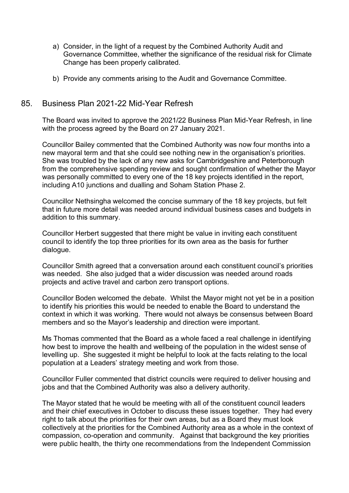- a) Consider, in the light of a request by the Combined Authority Audit and Governance Committee, whether the significance of the residual risk for Climate Change has been properly calibrated.
- b) Provide any comments arising to the Audit and Governance Committee.

## 85. Business Plan 2021-22 Mid-Year Refresh

The Board was invited to approve the 2021/22 Business Plan Mid-Year Refresh, in line with the process agreed by the Board on 27 January 2021.

Councillor Bailey commented that the Combined Authority was now four months into a new mayoral term and that she could see nothing new in the organisation's priorities. She was troubled by the lack of any new asks for Cambridgeshire and Peterborough from the comprehensive spending review and sought confirmation of whether the Mayor was personally committed to every one of the 18 key projects identified in the report, including A10 junctions and dualling and Soham Station Phase 2.

Councillor Nethsingha welcomed the concise summary of the 18 key projects, but felt that in future more detail was needed around individual business cases and budgets in addition to this summary.

Councillor Herbert suggested that there might be value in inviting each constituent council to identify the top three priorities for its own area as the basis for further dialogue.

Councillor Smith agreed that a conversation around each constituent council's priorities was needed. She also judged that a wider discussion was needed around roads projects and active travel and carbon zero transport options.

Councillor Boden welcomed the debate. Whilst the Mayor might not yet be in a position to identify his priorities this would be needed to enable the Board to understand the context in which it was working. There would not always be consensus between Board members and so the Mayor's leadership and direction were important.

Ms Thomas commented that the Board as a whole faced a real challenge in identifying how best to improve the health and wellbeing of the population in the widest sense of levelling up. She suggested it might be helpful to look at the facts relating to the local population at a Leaders' strategy meeting and work from those.

Councillor Fuller commented that district councils were required to deliver housing and jobs and that the Combined Authority was also a delivery authority.

The Mayor stated that he would be meeting with all of the constituent council leaders and their chief executives in October to discuss these issues together. They had every right to talk about the priorities for their own areas, but as a Board they must look collectively at the priorities for the Combined Authority area as a whole in the context of compassion, co-operation and community. Against that background the key priorities were public health, the thirty one recommendations from the Independent Commission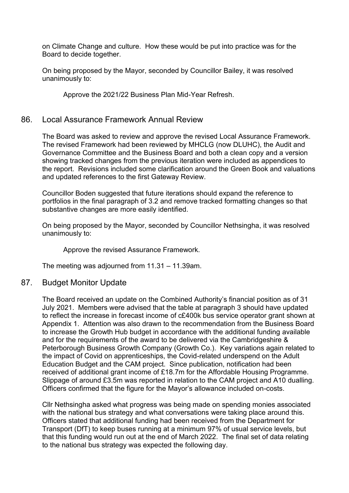on Climate Change and culture. How these would be put into practice was for the Board to decide together.

On being proposed by the Mayor, seconded by Councillor Bailey, it was resolved unanimously to:

Approve the 2021/22 Business Plan Mid-Year Refresh.

#### 86. Local Assurance Framework Annual Review

The Board was asked to review and approve the revised Local Assurance Framework. The revised Framework had been reviewed by MHCLG (now DLUHC), the Audit and Governance Committee and the Business Board and both a clean copy and a version showing tracked changes from the previous iteration were included as appendices to the report. Revisions included some clarification around the Green Book and valuations and updated references to the first Gateway Review.

Councillor Boden suggested that future iterations should expand the reference to portfolios in the final paragraph of 3.2 and remove tracked formatting changes so that substantive changes are more easily identified.

On being proposed by the Mayor, seconded by Councillor Nethsingha, it was resolved unanimously to:

Approve the revised Assurance Framework.

The meeting was adjourned from 11.31 – 11.39am.

#### 87. Budget Monitor Update

The Board received an update on the Combined Authority's financial position as of 31 July 2021. Members were advised that the table at paragraph 3 should have updated to reflect the increase in forecast income of c£400k bus service operator grant shown at Appendix 1. Attention was also drawn to the recommendation from the Business Board to increase the Growth Hub budget in accordance with the additional funding available and for the requirements of the award to be delivered via the Cambridgeshire & Peterborough Business Growth Company (Growth Co.). Key variations again related to the impact of Covid on apprenticeships, the Covid-related underspend on the Adult Education Budget and the CAM project. Since publication, notification had been received of additional grant income of £18.7m for the Affordable Housing Programme. Slippage of around £3.5m was reported in relation to the CAM project and A10 dualling. Officers confirmed that the figure for the Mayor's allowance included on-costs.

Cllr Nethsingha asked what progress was being made on spending monies associated with the national bus strategy and what conversations were taking place around this. Officers stated that additional funding had been received from the Department for Transport (DfT) to keep buses running at a minimum 97% of usual service levels, but that this funding would run out at the end of March 2022. The final set of data relating to the national bus strategy was expected the following day.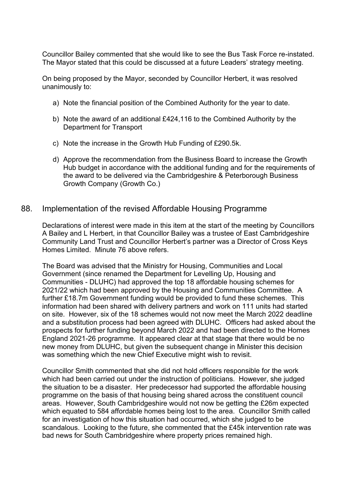Councillor Bailey commented that she would like to see the Bus Task Force re-instated. The Mayor stated that this could be discussed at a future Leaders' strategy meeting.

On being proposed by the Mayor, seconded by Councillor Herbert, it was resolved unanimously to:

- a) Note the financial position of the Combined Authority for the year to date.
- b) Note the award of an additional £424,116 to the Combined Authority by the Department for Transport
- c) Note the increase in the Growth Hub Funding of £290.5k.
- d) Approve the recommendation from the Business Board to increase the Growth Hub budget in accordance with the additional funding and for the requirements of the award to be delivered via the Cambridgeshire & Peterborough Business Growth Company (Growth Co.)

#### 88. Implementation of the revised Affordable Housing Programme

Declarations of interest were made in this item at the start of the meeting by Councillors A Bailey and L Herbert, in that Councillor Bailey was a trustee of East Cambridgeshire Community Land Trust and Councillor Herbert's partner was a Director of Cross Keys Homes Limited. Minute 76 above refers.

The Board was advised that the Ministry for Housing, Communities and Local Government (since renamed the Department for Levelling Up, Housing and Communities - DLUHC) had approved the top 18 affordable housing schemes for 2021/22 which had been approved by the Housing and Communities Committee. A further £18.7m Government funding would be provided to fund these schemes. This information had been shared with delivery partners and work on 111 units had started on site. However, six of the 18 schemes would not now meet the March 2022 deadline and a substitution process had been agreed with DLUHC. Officers had asked about the prospects for further funding beyond March 2022 and had been directed to the Homes England 2021-26 programme. It appeared clear at that stage that there would be no new money from DLUHC, but given the subsequent change in Minister this decision was something which the new Chief Executive might wish to revisit.

Councillor Smith commented that she did not hold officers responsible for the work which had been carried out under the instruction of politicians. However, she judged the situation to be a disaster. Her predecessor had supported the affordable housing programme on the basis of that housing being shared across the constituent council areas. However, South Cambridgeshire would not now be getting the £26m expected which equated to 584 affordable homes being lost to the area. Councillor Smith called for an investigation of how this situation had occurred, which she judged to be scandalous. Looking to the future, she commented that the £45k intervention rate was bad news for South Cambridgeshire where property prices remained high.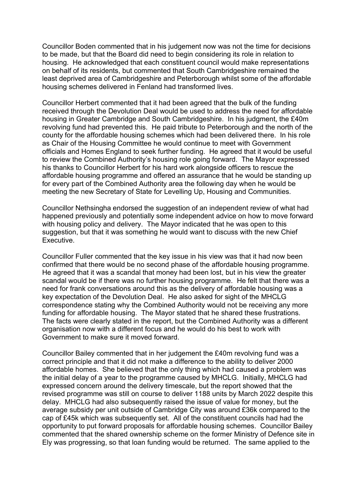Councillor Boden commented that in his judgement now was not the time for decisions to be made, but that the Board did need to begin considering its role in relation to housing. He acknowledged that each constituent council would make representations on behalf of its residents, but commented that South Cambridgeshire remained the least deprived area of Cambridgeshire and Peterborough whilst some of the affordable housing schemes delivered in Fenland had transformed lives.

Councillor Herbert commented that it had been agreed that the bulk of the funding received through the Devolution Deal would be used to address the need for affordable housing in Greater Cambridge and South Cambridgeshire. In his judgment, the £40m revolving fund had prevented this. He paid tribute to Peterborough and the north of the county for the affordable housing schemes which had been delivered there. In his role as Chair of the Housing Committee he would continue to meet with Government officials and Homes England to seek further funding. He agreed that it would be useful to review the Combined Authority's housing role going forward. The Mayor expressed his thanks to Councillor Herbert for his hard work alongside officers to rescue the affordable housing programme and offered an assurance that he would be standing up for every part of the Combined Authority area the following day when he would be meeting the new Secretary of State for Levelling Up, Housing and Communities.

Councillor Nethsingha endorsed the suggestion of an independent review of what had happened previously and potentially some independent advice on how to move forward with housing policy and delivery. The Mayor indicated that he was open to this suggestion, but that it was something he would want to discuss with the new Chief Executive.

Councillor Fuller commented that the key issue in his view was that it had now been confirmed that there would be no second phase of the affordable housing programme. He agreed that it was a scandal that money had been lost, but in his view the greater scandal would be if there was no further housing programme. He felt that there was a need for frank conversations around this as the delivery of affordable housing was a key expectation of the Devolution Deal. He also asked for sight of the MHCLG correspondence stating why the Combined Authority would not be receiving any more funding for affordable housing. The Mayor stated that he shared these frustrations. The facts were clearly stated in the report, but the Combined Authority was a different organisation now with a different focus and he would do his best to work with Government to make sure it moved forward.

Councillor Bailey commented that in her judgement the £40m revolving fund was a correct principle and that it did not make a difference to the ability to deliver 2000 affordable homes. She believed that the only thing which had caused a problem was the initial delay of a year to the programme caused by MHCLG. Initially, MHCLG had expressed concern around the delivery timescale, but the report showed that the revised programme was still on course to deliver 1188 units by March 2022 despite this delay. MHCLG had also subsequently raised the issue of value for money, but the average subsidy per unit outside of Cambridge City was around £36k compared to the cap of £45k which was subsequently set. All of the constituent councils had had the opportunity to put forward proposals for affordable housing schemes. Councillor Bailey commented that the shared ownership scheme on the former Ministry of Defence site in Ely was progressing, so that loan funding would be returned. The same applied to the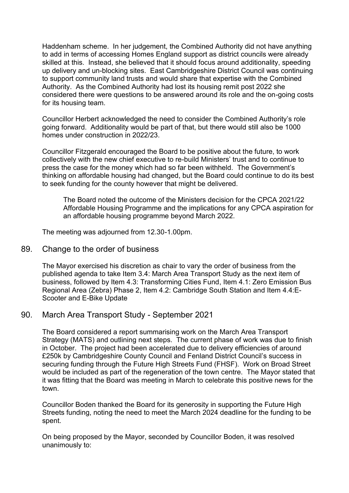Haddenham scheme. In her judgement, the Combined Authority did not have anything to add in terms of accessing Homes England support as district councils were already skilled at this. Instead, she believed that it should focus around additionality, speeding up delivery and un-blocking sites. East Cambridgeshire District Council was continuing to support community land trusts and would share that expertise with the Combined Authority. As the Combined Authority had lost its housing remit post 2022 she considered there were questions to be answered around its role and the on-going costs for its housing team.

Councillor Herbert acknowledged the need to consider the Combined Authority's role going forward. Additionality would be part of that, but there would still also be 1000 homes under construction in 2022/23.

Councillor Fitzgerald encouraged the Board to be positive about the future, to work collectively with the new chief executive to re-build Ministers' trust and to continue to press the case for the money which had so far been withheld. The Government's thinking on affordable housing had changed, but the Board could continue to do its best to seek funding for the county however that might be delivered.

The Board noted the outcome of the Ministers decision for the CPCA 2021/22 Affordable Housing Programme and the implications for any CPCA aspiration for an affordable housing programme beyond March 2022.

The meeting was adjourned from 12.30-1.00pm.

#### 89. Change to the order of business

The Mayor exercised his discretion as chair to vary the order of business from the published agenda to take Item 3.4: March Area Transport Study as the next item of business, followed by Item 4.3: Transforming Cities Fund, Item 4.1: Zero Emission Bus Regional Area (Zebra) Phase 2, Item 4.2: Cambridge South Station and Item 4.4:E-Scooter and E-Bike Update

## 90. March Area Transport Study - September 2021

The Board considered a report summarising work on the March Area Transport Strategy (MATS) and outlining next steps. The current phase of work was due to finish in October. The project had been accelerated due to delivery efficiencies of around £250k by Cambridgeshire County Council and Fenland District Council's success in securing funding through the Future High Streets Fund (FHSF). Work on Broad Street would be included as part of the regeneration of the town centre. The Mayor stated that it was fitting that the Board was meeting in March to celebrate this positive news for the town.

Councillor Boden thanked the Board for its generosity in supporting the Future High Streets funding, noting the need to meet the March 2024 deadline for the funding to be spent.

On being proposed by the Mayor, seconded by Councillor Boden, it was resolved unanimously to: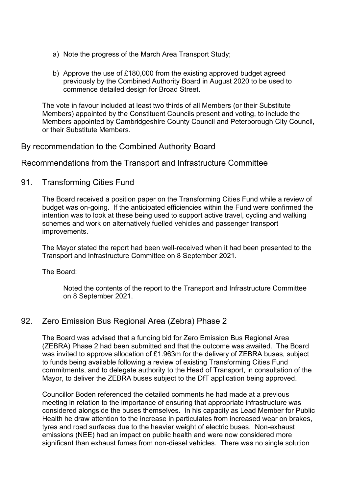- a) Note the progress of the March Area Transport Study;
- b) Approve the use of £180,000 from the existing approved budget agreed previously by the Combined Authority Board in August 2020 to be used to commence detailed design for Broad Street.

The vote in favour included at least two thirds of all Members (or their Substitute Members) appointed by the Constituent Councils present and voting, to include the Members appointed by Cambridgeshire County Council and Peterborough City Council, or their Substitute Members.

# By recommendation to the Combined Authority Board

Recommendations from the Transport and Infrastructure Committee

# 91. Transforming Cities Fund

The Board received a position paper on the Transforming Cities Fund while a review of budget was on-going. If the anticipated efficiencies within the Fund were confirmed the intention was to look at these being used to support active travel, cycling and walking schemes and work on alternatively fuelled vehicles and passenger transport improvements.

The Mayor stated the report had been well-received when it had been presented to the Transport and Infrastructure Committee on 8 September 2021.

The Board:

Noted the contents of the report to the Transport and Infrastructure Committee on 8 September 2021.

# 92. Zero Emission Bus Regional Area (Zebra) Phase 2

The Board was advised that a funding bid for Zero Emission Bus Regional Area (ZEBRA) Phase 2 had been submitted and that the outcome was awaited. The Board was invited to approve allocation of £1.963m for the delivery of ZEBRA buses, subject to funds being available following a review of existing Transforming Cities Fund commitments, and to delegate authority to the Head of Transport, in consultation of the Mayor, to deliver the ZEBRA buses subject to the DfT application being approved.

Councillor Boden referenced the detailed comments he had made at a previous meeting in relation to the importance of ensuring that appropriate infrastructure was considered alongside the buses themselves. In his capacity as Lead Member for Public Health he draw attention to the increase in particulates from increased wear on brakes, tyres and road surfaces due to the heavier weight of electric buses. Non-exhaust emissions (NEE) had an impact on public health and were now considered more significant than exhaust fumes from non-diesel vehicles. There was no single solution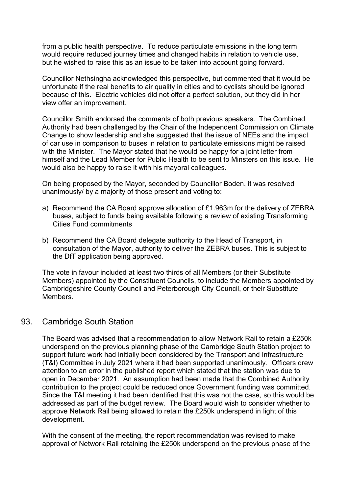from a public health perspective. To reduce particulate emissions in the long term would require reduced journey times and changed habits in relation to vehicle use, but he wished to raise this as an issue to be taken into account going forward.

Councillor Nethsingha acknowledged this perspective, but commented that it would be unfortunate if the real benefits to air quality in cities and to cyclists should be ignored because of this. Electric vehicles did not offer a perfect solution, but they did in her view offer an improvement.

Councillor Smith endorsed the comments of both previous speakers. The Combined Authority had been challenged by the Chair of the Independent Commission on Climate Change to show leadership and she suggested that the issue of NEEs and the impact of car use in comparison to buses in relation to particulate emissions might be raised with the Minister. The Mayor stated that he would be happy for a joint letter from himself and the Lead Member for Public Health to be sent to Minsters on this issue. He would also be happy to raise it with his mayoral colleagues.

On being proposed by the Mayor, seconded by Councillor Boden, it was resolved unanimously/ by a majority of those present and voting to:

- a) Recommend the CA Board approve allocation of £1.963m for the delivery of ZEBRA buses, subject to funds being available following a review of existing Transforming Cities Fund commitments
- b) Recommend the CA Board delegate authority to the Head of Transport, in consultation of the Mayor, authority to deliver the ZEBRA buses. This is subject to the DfT application being approved.

The vote in favour included at least two thirds of all Members (or their Substitute Members) appointed by the Constituent Councils, to include the Members appointed by Cambridgeshire County Council and Peterborough City Council, or their Substitute Members.

## 93. Cambridge South Station

The Board was advised that a recommendation to allow Network Rail to retain a £250k underspend on the previous planning phase of the Cambridge South Station project to support future work had initially been considered by the Transport and Infrastructure (T&I) Committee in July 2021 where it had been supported unanimously. Officers drew attention to an error in the published report which stated that the station was due to open in December 2021. An assumption had been made that the Combined Authority contribution to the project could be reduced once Government funding was committed. Since the T&I meeting it had been identified that this was not the case, so this would be addressed as part of the budget review. The Board would wish to consider whether to approve Network Rail being allowed to retain the £250k underspend in light of this development.

With the consent of the meeting, the report recommendation was revised to make approval of Network Rail retaining the £250k underspend on the previous phase of the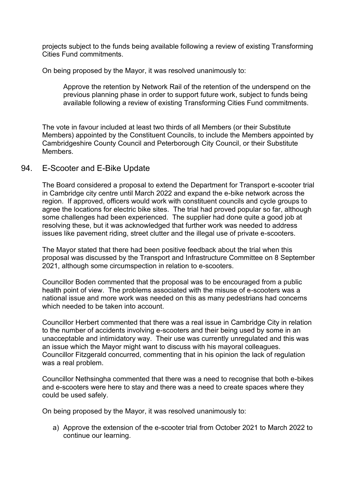projects subject to the funds being available following a review of existing Transforming Cities Fund commitments.

On being proposed by the Mayor, it was resolved unanimously to:

Approve the retention by Network Rail of the retention of the underspend on the previous planning phase in order to support future work, subject to funds being available following a review of existing Transforming Cities Fund commitments.

The vote in favour included at least two thirds of all Members (or their Substitute Members) appointed by the Constituent Councils, to include the Members appointed by Cambridgeshire County Council and Peterborough City Council, or their Substitute Members.

## 94. E-Scooter and E-Bike Update

The Board considered a proposal to extend the Department for Transport e-scooter trial in Cambridge city centre until March 2022 and expand the e-bike network across the region. If approved, officers would work with constituent councils and cycle groups to agree the locations for electric bike sites. The trial had proved popular so far, although some challenges had been experienced. The supplier had done quite a good job at resolving these, but it was acknowledged that further work was needed to address issues like pavement riding, street clutter and the illegal use of private e-scooters.

The Mayor stated that there had been positive feedback about the trial when this proposal was discussed by the Transport and Infrastructure Committee on 8 September 2021, although some circumspection in relation to e-scooters.

Councillor Boden commented that the proposal was to be encouraged from a public health point of view. The problems associated with the misuse of e-scooters was a national issue and more work was needed on this as many pedestrians had concerns which needed to be taken into account.

Councillor Herbert commented that there was a real issue in Cambridge City in relation to the number of accidents involving e-scooters and their being used by some in an unacceptable and intimidatory way. Their use was currently unregulated and this was an issue which the Mayor might want to discuss with his mayoral colleagues. Councillor Fitzgerald concurred, commenting that in his opinion the lack of regulation was a real problem.

Councillor Nethsingha commented that there was a need to recognise that both e-bikes and e-scooters were here to stay and there was a need to create spaces where they could be used safely.

On being proposed by the Mayor, it was resolved unanimously to:

a) Approve the extension of the e-scooter trial from October 2021 to March 2022 to continue our learning.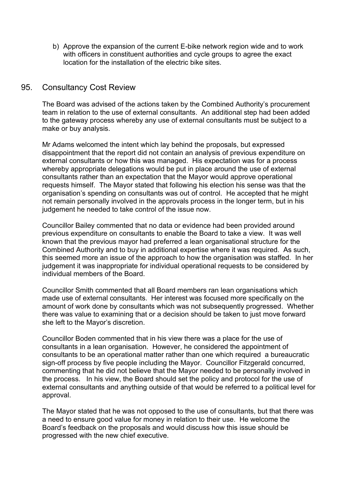b) Approve the expansion of the current E-bike network region wide and to work with officers in constituent authorities and cycle groups to agree the exact location for the installation of the electric bike sites.

## 95. Consultancy Cost Review

The Board was advised of the actions taken by the Combined Authority's procurement team in relation to the use of external consultants. An additional step had been added to the gateway process whereby any use of external consultants must be subject to a make or buy analysis.

Mr Adams welcomed the intent which lay behind the proposals, but expressed disappointment that the report did not contain an analysis of previous expenditure on external consultants or how this was managed. His expectation was for a process whereby appropriate delegations would be put in place around the use of external consultants rather than an expectation that the Mayor would approve operational requests himself. The Mayor stated that following his election his sense was that the organisation's spending on consultants was out of control. He accepted that he might not remain personally involved in the approvals process in the longer term, but in his judgement he needed to take control of the issue now.

Councillor Bailey commented that no data or evidence had been provided around previous expenditure on consultants to enable the Board to take a view. It was well known that the previous mayor had preferred a lean organisational structure for the Combined Authority and to buy in additional expertise where it was required. As such, this seemed more an issue of the approach to how the organisation was staffed. In her judgement it was inappropriate for individual operational requests to be considered by individual members of the Board.

Councillor Smith commented that all Board members ran lean organisations which made use of external consultants. Her interest was focused more specifically on the amount of work done by consultants which was not subsequently progressed. Whether there was value to examining that or a decision should be taken to just move forward she left to the Mayor's discretion.

Councillor Boden commented that in his view there was a place for the use of consultants in a lean organisation. However, he considered the appointment of consultants to be an operational matter rather than one which required a bureaucratic sign-off process by five people including the Mayor. Councillor Fitzgerald concurred, commenting that he did not believe that the Mayor needed to be personally involved in the process. In his view, the Board should set the policy and protocol for the use of external consultants and anything outside of that would be referred to a political level for approval.

The Mayor stated that he was not opposed to the use of consultants, but that there was a need to ensure good value for money in relation to their use. He welcome the Board's feedback on the proposals and would discuss how this issue should be progressed with the new chief executive.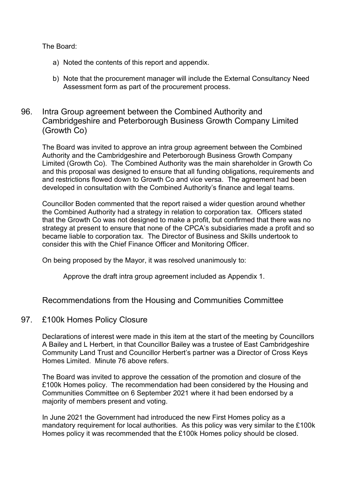The Board:

- a) Noted the contents of this report and appendix.
- b) Note that the procurement manager will include the External Consultancy Need Assessment form as part of the procurement process.

# 96. Intra Group agreement between the Combined Authority and Cambridgeshire and Peterborough Business Growth Company Limited (Growth Co)

The Board was invited to approve an intra group agreement between the Combined Authority and the Cambridgeshire and Peterborough Business Growth Company Limited (Growth Co). The Combined Authority was the main shareholder in Growth Co and this proposal was designed to ensure that all funding obligations, requirements and and restrictions flowed down to Growth Co and vice versa. The agreement had been developed in consultation with the Combined Authority's finance and legal teams.

Councillor Boden commented that the report raised a wider question around whether the Combined Authority had a strategy in relation to corporation tax. Officers stated that the Growth Co was not designed to make a profit, but confirmed that there was no strategy at present to ensure that none of the CPCA's subsidiaries made a profit and so became liable to corporation tax. The Director of Business and Skills undertook to consider this with the Chief Finance Officer and Monitoring Officer.

On being proposed by the Mayor, it was resolved unanimously to:

Approve the draft intra group agreement included as Appendix 1.

# Recommendations from the Housing and Communities Committee

## 97. £100k Homes Policy Closure

Declarations of interest were made in this item at the start of the meeting by Councillors A Bailey and L Herbert, in that Councillor Bailey was a trustee of East Cambridgeshire Community Land Trust and Councillor Herbert's partner was a Director of Cross Keys Homes Limited. Minute 76 above refers.

The Board was invited to approve the cessation of the promotion and closure of the £100k Homes policy. The recommendation had been considered by the Housing and Communities Committee on 6 September 2021 where it had been endorsed by a majority of members present and voting.

In June 2021 the Government had introduced the new First Homes policy as a mandatory requirement for local authorities. As this policy was very similar to the £100k Homes policy it was recommended that the £100k Homes policy should be closed.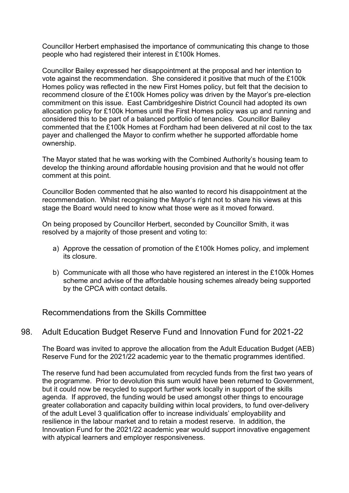Councillor Herbert emphasised the importance of communicating this change to those people who had registered their interest in £100k Homes.

Councillor Bailey expressed her disappointment at the proposal and her intention to vote against the recommendation. She considered it positive that much of the £100k Homes policy was reflected in the new First Homes policy, but felt that the decision to recommend closure of the £100k Homes policy was driven by the Mayor's pre-election commitment on this issue. East Cambridgeshire District Council had adopted its own allocation policy for £100k Homes until the First Homes policy was up and running and considered this to be part of a balanced portfolio of tenancies. Councillor Bailey commented that the £100k Homes at Fordham had been delivered at nil cost to the tax payer and challenged the Mayor to confirm whether he supported affordable home ownership.

The Mayor stated that he was working with the Combined Authority's housing team to develop the thinking around affordable housing provision and that he would not offer comment at this point.

Councillor Boden commented that he also wanted to record his disappointment at the recommendation. Whilst recognising the Mayor's right not to share his views at this stage the Board would need to know what those were as it moved forward.

On being proposed by Councillor Herbert, seconded by Councillor Smith, it was resolved by a majority of those present and voting to:

- a) Approve the cessation of promotion of the £100k Homes policy, and implement its closure.
- b) Communicate with all those who have registered an interest in the £100k Homes scheme and advise of the affordable housing schemes already being supported by the CPCA with contact details.

Recommendations from the Skills Committee

## 98. Adult Education Budget Reserve Fund and Innovation Fund for 2021-22

The Board was invited to approve the allocation from the Adult Education Budget (AEB) Reserve Fund for the 2021/22 academic year to the thematic programmes identified.

The reserve fund had been accumulated from recycled funds from the first two years of the programme. Prior to devolution this sum would have been returned to Government, but it could now be recycled to support further work locally in support of the skills agenda. If approved, the funding would be used amongst other things to encourage greater collaboration and capacity building within local providers, to fund over-delivery of the adult Level 3 qualification offer to increase individuals' employability and resilience in the labour market and to retain a modest reserve. In addition, the Innovation Fund for the 2021/22 academic year would support innovative engagement with atypical learners and employer responsiveness.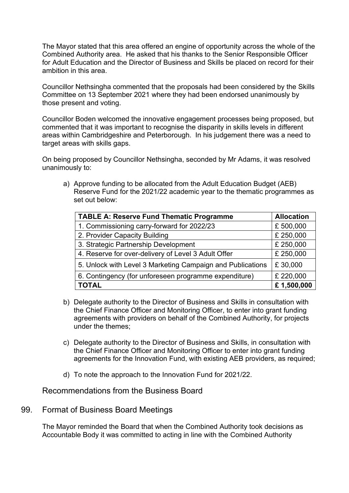The Mayor stated that this area offered an engine of opportunity across the whole of the Combined Authority area. He asked that his thanks to the Senior Responsible Officer for Adult Education and the Director of Business and Skills be placed on record for their ambition in this area.

Councillor Nethsingha commented that the proposals had been considered by the Skills Committee on 13 September 2021 where they had been endorsed unanimously by those present and voting.

Councillor Boden welcomed the innovative engagement processes being proposed, but commented that it was important to recognise the disparity in skills levels in different areas within Cambridgeshire and Peterborough. In his judgement there was a need to target areas with skills gaps.

On being proposed by Councillor Nethsingha, seconded by Mr Adams, it was resolved unanimously to:

a) Approve funding to be allocated from the Adult Education Budget (AEB) Reserve Fund for the 2021/22 academic year to the thematic programmes as set out below:

| <b>TABLE A: Reserve Fund Thematic Programme</b>            | <b>Allocation</b> |
|------------------------------------------------------------|-------------------|
| 1. Commissioning carry-forward for 2022/23                 | £500,000          |
| 2. Provider Capacity Building                              | £ 250,000         |
| 3. Strategic Partnership Development                       | £ 250,000         |
| 4. Reserve for over-delivery of Level 3 Adult Offer        | £ 250,000         |
| 5. Unlock with Level 3 Marketing Campaign and Publications | £30,000           |
| 6. Contingency (for unforeseen programme expenditure)      | £ 220,000         |
| <b>TOTAL</b>                                               | £1,500,000        |

- b) Delegate authority to the Director of Business and Skills in consultation with the Chief Finance Officer and Monitoring Officer, to enter into grant funding agreements with providers on behalf of the Combined Authority, for projects under the themes;
- c) Delegate authority to the Director of Business and Skills, in consultation with the Chief Finance Officer and Monitoring Officer to enter into grant funding agreements for the Innovation Fund, with existing AEB providers, as required;
- d) To note the approach to the Innovation Fund for 2021/22.

Recommendations from the Business Board

## 99. Format of Business Board Meetings

The Mayor reminded the Board that when the Combined Authority took decisions as Accountable Body it was committed to acting in line with the Combined Authority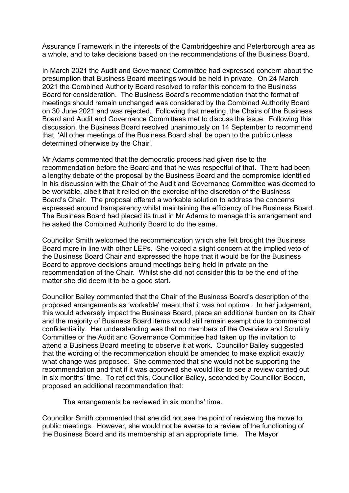Assurance Framework in the interests of the Cambridgeshire and Peterborough area as a whole, and to take decisions based on the recommendations of the Business Board.

In March 2021 the Audit and Governance Committee had expressed concern about the presumption that Business Board meetings would be held in private. On 24 March 2021 the Combined Authority Board resolved to refer this concern to the Business Board for consideration. The Business Board's recommendation that the format of meetings should remain unchanged was considered by the Combined Authority Board on 30 June 2021 and was rejected. Following that meeting, the Chairs of the Business Board and Audit and Governance Committees met to discuss the issue. Following this discussion, the Business Board resolved unanimously on 14 September to recommend that, 'All other meetings of the Business Board shall be open to the public unless determined otherwise by the Chair'.

Mr Adams commented that the democratic process had given rise to the recommendation before the Board and that he was respectful of that. There had been a lengthy debate of the proposal by the Business Board and the compromise identified in his discussion with the Chair of the Audit and Governance Committee was deemed to be workable, albeit that it relied on the exercise of the discretion of the Business Board's Chair. The proposal offered a workable solution to address the concerns expressed around transparency whilst maintaining the efficiency of the Business Board. The Business Board had placed its trust in Mr Adams to manage this arrangement and he asked the Combined Authority Board to do the same.

Councillor Smith welcomed the recommendation which she felt brought the Business Board more in line with other LEPs. She voiced a slight concern at the implied veto of the Business Board Chair and expressed the hope that it would be for the Business Board to approve decisions around meetings being held in private on the recommendation of the Chair. Whilst she did not consider this to be the end of the matter she did deem it to be a good start.

Councillor Bailey commented that the Chair of the Business Board's description of the proposed arrangements as 'workable' meant that it was not optimal. In her judgement, this would adversely impact the Business Board, place an additional burden on its Chair and the majority of Business Board items would still remain exempt due to commercial confidentiality. Her understanding was that no members of the Overview and Scrutiny Committee or the Audit and Governance Committee had taken up the invitation to attend a Business Board meeting to observe it at work. Councillor Bailey suggested that the wording of the recommendation should be amended to make explicit exactly what change was proposed. She commented that she would not be supporting the recommendation and that if it was approved she would like to see a review carried out in six months' time. To reflect this, Councillor Bailey, seconded by Councillor Boden, proposed an additional recommendation that:

The arrangements be reviewed in six months' time.

Councillor Smith commented that she did not see the point of reviewing the move to public meetings. However, she would not be averse to a review of the functioning of the Business Board and its membership at an appropriate time. The Mayor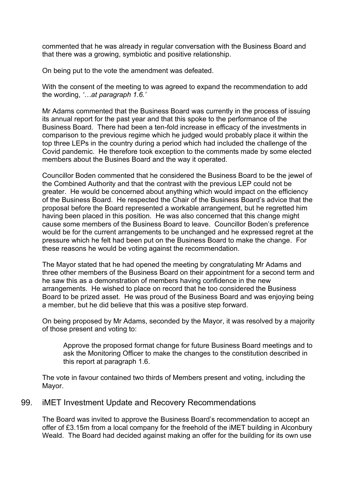commented that he was already in regular conversation with the Business Board and that there was a growing, symbiotic and positive relationship.

On being put to the vote the amendment was defeated.

With the consent of the meeting to was agreed to expand the recommendation to add the wording, *'…at paragraph 1.6.'*

Mr Adams commented that the Business Board was currently in the process of issuing its annual report for the past year and that this spoke to the performance of the Business Board. There had been a ten-fold increase in efficacy of the investments in comparison to the previous regime which he judged would probably place it within the top three LEPs in the country during a period which had included the challenge of the Covid pandemic. He therefore took exception to the comments made by some elected members about the Busines Board and the way it operated.

Councillor Boden commented that he considered the Business Board to be the jewel of the Combined Authority and that the contrast with the previous LEP could not be greater. He would be concerned about anything which would impact on the efficiency of the Business Board. He respected the Chair of the Business Board's advice that the proposal before the Board represented a workable arrangement, but he regretted him having been placed in this position. He was also concerned that this change might cause some members of the Business Board to leave. Councillor Boden's preference would be for the current arrangements to be unchanged and he expressed regret at the pressure which he felt had been put on the Business Board to make the change. For these reasons he would be voting against the recommendation.

The Mayor stated that he had opened the meeting by congratulating Mr Adams and three other members of the Business Board on their appointment for a second term and he saw this as a demonstration of members having confidence in the new arrangements. He wished to place on record that he too considered the Business Board to be prized asset. He was proud of the Business Board and was enjoying being a member, but he did believe that this was a positive step forward.

On being proposed by Mr Adams, seconded by the Mayor, it was resolved by a majority of those present and voting to:

Approve the proposed format change for future Business Board meetings and to ask the Monitoring Officer to make the changes to the constitution described in this report at paragraph 1.6.

The vote in favour contained two thirds of Members present and voting, including the Mayor.

## 99. iMET Investment Update and Recovery Recommendations

The Board was invited to approve the Business Board's recommendation to accept an offer of £3.15m from a local company for the freehold of the iMET building in Alconbury Weald. The Board had decided against making an offer for the building for its own use